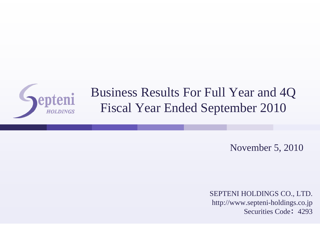

# Business Results For Full Year and 4Q Fiscal Year Ended September 2010

November 5, 2010

SEPTENI HOLDINGS CO., LTD. http://www.septeni-holdings.co.jp Securities Code: 4293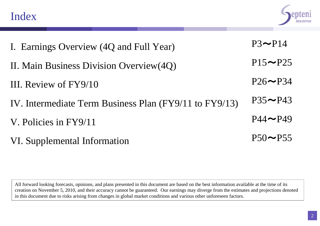



| I. Earnings Overview (4Q and Full Year)                | $P3 \rightarrow P14$  |
|--------------------------------------------------------|-----------------------|
| II. Main Business Division Overview(4Q)                | $P15 \rightarrow P25$ |
| III. Review of FY9/10                                  | $P26 \rightarrow P34$ |
| IV. Intermediate Term Business Plan (FY9/11 to FY9/13) | $P35 \rightarrow P43$ |
| V. Policies in FY9/11                                  | $P44 \rightarrow P49$ |
| VI. Supplemental Information                           | $P50 \rightarrow P55$ |

All forward looking forecasts, opinions, and plans presented in this document are based on the best information available at the time of its creation on November 5, 2010, and their accuracy cannot be guaranteed. Our earnings may diverge from the estimates and projections denoted in this document due to risks arising from changes in global market conditions and various other unforeseen factors.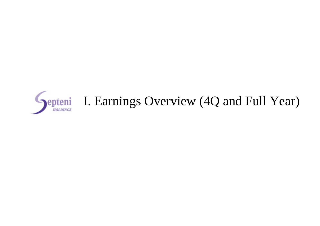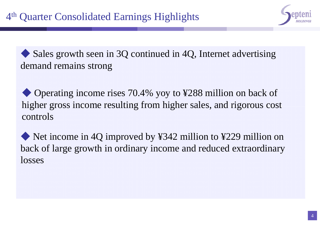

◆ Sales growth seen in 3Q continued in 4Q, Internet advertising demand remains strong

◆ Operating income rises 70.4% yoy to ¥288 million on back of higher gross income resulting from higher sales, and rigorous cost controls

◆ Net income in 4Q improved by ¥342 million to ¥229 million on back of large growth in ordinary income and reduced extraordinary losses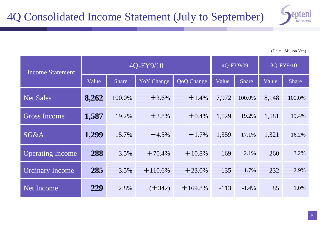

| <b>Income Statement</b> |       | 4Q-FY9/10    |                   |                   |        | 4Q-FY9/09    |       | 3Q-FY9/10    |  |
|-------------------------|-------|--------------|-------------------|-------------------|--------|--------------|-------|--------------|--|
|                         | Value | <b>Share</b> | <b>YoY</b> Change | <b>QoQ</b> Change | Value  | <b>Share</b> | Value | <b>Share</b> |  |
| <b>Net Sales</b>        | 8,262 | 100.0%       | $+3.6%$           | $+1.4%$           | 7,972  | 100.0%       | 8,148 | 100.0%       |  |
| <b>Gross Income</b>     | 1,587 | 19.2%        | $+3.8%$           | $+0.4%$           | 1,529  | 19.2%        | 1,581 | 19.4%        |  |
| SG&A                    | 1,299 | 15.7%        | $-4.5%$           | $-1.7%$           | 1,359  | 17.1%        | 1,321 | 16.2%        |  |
| <b>Operating Income</b> | 288   | 3.5%         | $+70.4%$          | $+10.8\%$         | 169    | 2.1%         | 260   | 3.2%         |  |
| <b>Ordinary Income</b>  | 285   | 3.5%         | $+110.6\%$        | $+23.0\%$         | 135    | 1.7%         | 232   | 2.9%         |  |
| Net Income              | 229   | 2.8%         | $(+342)$          | $+169.8\%$        | $-113$ | $-1.4%$      | 85    | 1.0%         |  |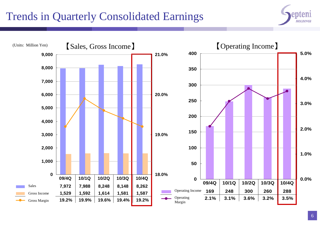# Trends in Quarterly Consolidated Earnings



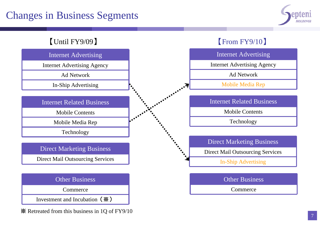## Changes in Business Segments



#### 【Until FY9/09 】

#### Internet Advertising

Internet Advertising Agency

Ad Network

In-Ship Advertising

Internet Related Business

Mobile Contents

Mobile Media Rep

Technology

#### Direct Marketing Business

Direct Mail Outsourcing Services



Commerce

Investment and Incubation(※)

※ Retreated from this business in 1Q of FY9/10

#### 【From FY9/10 】



Commerce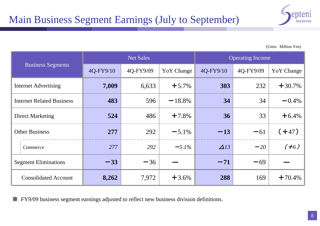

|                                  |           | <b>Net Sales</b> |                   | <b>Operating Income</b> |           |                   |  |
|----------------------------------|-----------|------------------|-------------------|-------------------------|-----------|-------------------|--|
| <b>Business Segments</b>         | 4Q-FY9/10 | 4Q-FY9/09        | <b>YoY</b> Change | 4Q-FY9/10               | 4Q-FY9/09 | <b>YoY</b> Change |  |
| <b>Internet Advertising</b>      | 7,009     | 6,633            | $+5.7%$           | 303                     | 232       | $+30.7%$          |  |
| <b>Internet Related Business</b> | 483       | 596              | $-18.8%$          | 34                      | 34        | $-0.4%$           |  |
| <b>Direct Marketing</b>          | 524       | 486              | $+7.8%$           | 36                      | 33        | $+6.4%$           |  |
| <b>Other Business</b>            | 277       | 292              | $-5.1\%$          | $-13$                   | $-61$     | $(+47)$           |  |
| Commerce                         | 277       | 292              | $-5.1\%$          | $\Delta$ 13             | $-20$     | $(+6)$            |  |
| <b>Segment Eliminations</b>      | $-33$     | $-36$            |                   | $-71$                   | $-69$     |                   |  |
| <b>Consolidated Account</b>      | 8,262     | 7,972            | $+3.6%$           | 288                     | 169       | $+70.4\%$         |  |

※ FY9/09 business segment earnings adjusted to reflect new business division definitions.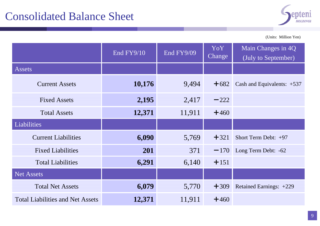

|                                         | End FY9/10 | End FY9/09 | YoY<br>Change | Main Changes in 4Q<br>(July to September) |
|-----------------------------------------|------------|------------|---------------|-------------------------------------------|
| Assets                                  |            |            |               |                                           |
| <b>Current Assets</b>                   | 10,176     | 9,494      | $+682$        | Cash and Equivalents: $+537$              |
| <b>Fixed Assets</b>                     | 2,195      | 2,417      | $-222$        |                                           |
| <b>Total Assets</b>                     | 12,371     | 11,911     | $+460$        |                                           |
| Liabilities                             |            |            |               |                                           |
| <b>Current Liabilities</b>              | 6,090      | 5,769      | $+321$        | Short Term Debt: $+97$                    |
| <b>Fixed Liabilities</b>                | 201        | 371        | $-170$        | Long Term Debt: -62                       |
| <b>Total Liabilities</b>                | 6,291      | 6,140      | $+151$        |                                           |
| <b>Net Assets</b>                       |            |            |               |                                           |
| <b>Total Net Assets</b>                 | 6,079      | 5,770      | $+309$        | Retained Earnings: +229                   |
| <b>Total Liabilities and Net Assets</b> | 12,371     | 11,911     | $+460$        |                                           |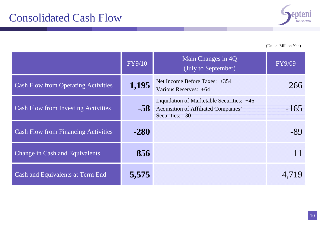

|                                            | FY9/10 | Main Changes in 4Q<br>(July to September)                                                                   | <b>FY9/09</b> |
|--------------------------------------------|--------|-------------------------------------------------------------------------------------------------------------|---------------|
| <b>Cash Flow from Operating Activities</b> | 1,195  | Net Income Before Taxes: $+354$<br>Various Reserves: +64                                                    | 266           |
| <b>Cash Flow from Investing Activities</b> | $-58$  | Liquidation of Marketable Securities: +46<br><b>Acquisition of Affiliated Companies'</b><br>Securities: -30 | $-165$        |
| <b>Cash Flow from Financing Activities</b> | $-280$ |                                                                                                             | -89           |
| Change in Cash and Equivalents             | 856    |                                                                                                             |               |
| Cash and Equivalents at Term End           | 5,575  |                                                                                                             | 4,719         |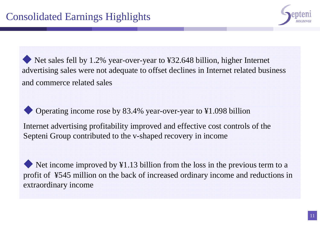

Net sales fell by 1.2% year-over-year to ¥32.648 billion, higher Internet advertising sales were not adequate to offset declines in Internet related business and commerce related sales

◆ Operating income rose by 83.4% year-over-year to ¥1.098 billion

Internet advertising profitability improved and effective cost controls of the Septeni Group contributed to the v-shaped recovery in income

Net income improved by  $\angle 1.13$  billion from the loss in the previous term to a profit of ¥545 million on the back of increased ordinary income and reductions in extraordinary income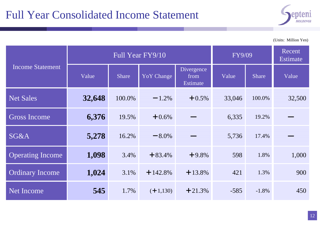## Full Year Consolidated Income Statement



(Units: Million Yen)

|                         |        | Full Year FY9/10 |                   | FY9/09                         |        | Recent<br>Estimate |        |
|-------------------------|--------|------------------|-------------------|--------------------------------|--------|--------------------|--------|
| <b>Income Statement</b> | Value  | <b>Share</b>     | <b>YoY</b> Change | Divergence<br>from<br>Estimate | Value  | Share              | Value  |
| <b>Net Sales</b>        | 32,648 | 100.0%           | $-1.2\%$          | $+0.5%$                        | 33,046 | 100.0%             | 32,500 |
| <b>Gross Income</b>     | 6,376  | 19.5%            | $+0.6%$           |                                | 6,335  | 19.2%              |        |
| <b>SG&amp;A</b>         | 5,278  | 16.2%            | $-8.0\%$          |                                | 5,736  | 17.4%              |        |
| <b>Operating Income</b> | 1,098  | 3.4%             | $+83.4%$          | $+9.8%$                        | 598    | 1.8%               | 1,000  |
| <b>Ordinary Income</b>  | 1,024  | 3.1%             | $+142.8%$         | $+13.8%$                       | 421    | 1.3%               | 900    |
| <b>Net Income</b>       | 545    | 1.7%             | $(+1,130)$        | $+21.3%$                       | $-585$ | $-1.8%$            | 450    |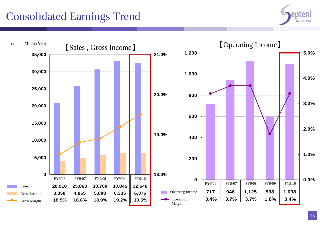## Consolidated Earnings Trend



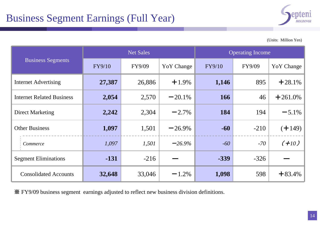

|                                  |               | <b>Net Sales</b> |             | <b>Operating Income</b> |        |                   |  |
|----------------------------------|---------------|------------------|-------------|-------------------------|--------|-------------------|--|
| <b>Business Segments</b>         | <b>FY9/10</b> | FY9/09           | Yo Y Change | <b>FY9/10</b>           | FY9/09 | <b>YoY</b> Change |  |
| Internet Advertising             | 27,387        | 26,886           | $+1.9%$     | 1,146                   | 895    | $+28.1%$          |  |
| <b>Internet Related Business</b> | 2,054         | 2,570            | $-20.1\%$   | 166                     | 46     | $+261.0%$         |  |
| <b>Direct Marketing</b>          | 2,242         | 2,304            | $-2.7%$     | 184                     | 194    | $-5.1\%$          |  |
| <b>Other Business</b>            | 1,097         | 1,501            | $-26.9\%$   | $-60$                   | $-210$ | $(+149)$          |  |
| Commerce                         | 1,097         | 1,501            | $-26.9%$    | $-60$                   | $-70$  | $(+10)$           |  |
| <b>Segment Eliminations</b>      | $-131$        | $-216$           |             | $-339$                  | $-326$ |                   |  |
| <b>Consolidated Accounts</b>     | 32,648        | 33,046           | $-1.2\%$    | 1,098                   | 598    | $+83.4%$          |  |

※ FY9/09 business segment earnings adjusted to reflect new business division definitions.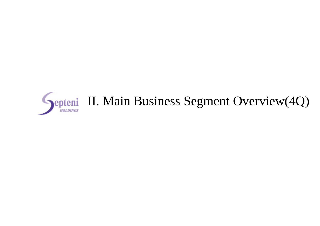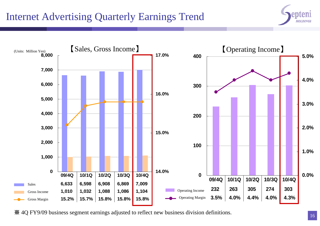#### Internet Advertising Quarterly Earnings Trend





※ 4Q FY9/09 business segment earnings adjusted to reflect new business division definitions.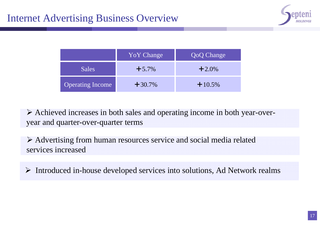

|                         | <b>YoY</b> Change | <b>QoQ</b> Change |
|-------------------------|-------------------|-------------------|
| Sales                   | $+5.7\%$          | $+2.0\%$          |
| <b>Operating Income</b> | $+30.7\%$         | $+10.5%$          |

 Achieved increases in both sales and operating income in both year-overyear and quarter-over-quarter terms

 Advertising from human resources service and social media related services increased

Introduced in-house developed services into solutions, Ad Network realms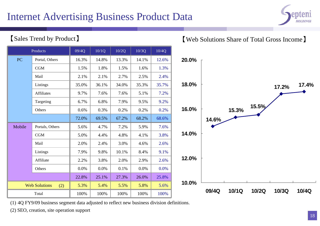#### Internet Advertising Business Product Data



#### 【Sales Trend by Product】

|        | Products                    | $\overline{09/4Q}$ | 10/1Q | 10/2Q | 10/3Q | 10/4Q |                |
|--------|-----------------------------|--------------------|-------|-------|-------|-------|----------------|
| PC     | Portal, Others              | 16.3%              | 14.8% | 13.3% | 14.1% | 12.6% | 2 <sub>0</sub> |
|        | CGM                         | 1.5%               | 1.8%  | 1.5%  | 1.6%  | 1.3%  |                |
|        | Mail                        | 2.1%               | 2.1%  | 2.7%  | 2.5%  | 2.4%  |                |
|        | Listings                    | 35.0%              | 36.1% | 34.0% | 35.3% | 35.7% | 18             |
|        | <b>Affiliates</b>           | 9.7%               | 7.6%  | 7.6%  | 5.1%  | 7.2%  |                |
|        | Targeting                   | 6.7%               | 6.8%  | 7.9%  | 9.5%  | 9.2%  |                |
|        | Others                      | 0.6%               | 0.3%  | 0.2%  | 0.2%  | 0.2%  | 16             |
|        |                             | 72.0%              | 69.5% | 67.2% | 68.2% | 68.6% |                |
| Mobile | Portals, Others             | 5.6%               | 4.7%  | 7.2%  | 5.9%  | 7.6%  |                |
|        | CGM                         | 5.0%               | 4.4%  | 4.8%  | 4.1%  | 3.8%  | 14             |
|        | Mail                        | 2.0%               | 2.4%  | 3.0%  | 4.6%  | 2.6%  |                |
|        | Listings                    | 7.9%               | 9.8%  | 10.1% | 8.4%  | 9.1%  |                |
|        | Affiliate                   | 2.2%               | 3.8%  | 2.0%  | 2.9%  | 2.6%  | 12             |
|        | Others                      | 0.0%               | 0.0%  | 0.1%  | 0.0%  | 0.0%  |                |
|        |                             | 22.8%              | 25.1% | 27.3% | 26.0% | 25.8% |                |
|        | <b>Web Solutions</b><br>(2) | 5.3%               | 5.4%  | 5.5%  | 5.8%  | 5.6%  | 10             |
|        | Total                       | 100%               | 100%  | 100%  | 100%  | 100%  |                |

#### 【Web Solutions Share of Total Gross Income】



(1) 4Q FY9/09 business segment data adjusted to reflect new business division definitions.

(2) SEO, creation, site operation support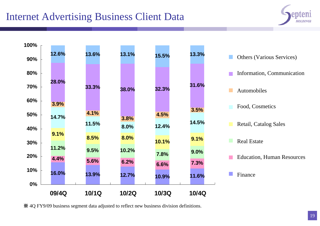#### Internet Advertising Business Client Data





※ 4Q FY9/09 business segment data adjusted to reflect new business division definitions.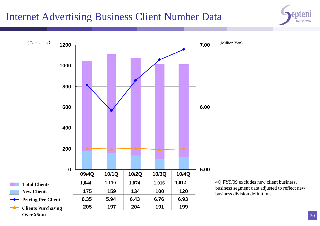#### Internet Advertising Business Client Number Data



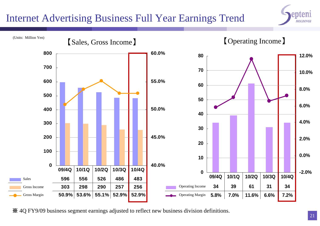#### Internet Advertising Business Full Year Earnings Trend





※ 4Q FY9/09 business segment earnings adjusted to reflect new business division definitions.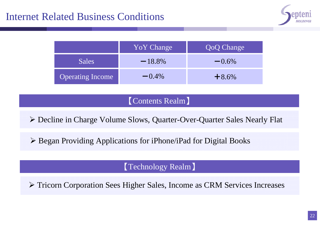

|                         | YoY Change | <b>QoQ Change</b> |
|-------------------------|------------|-------------------|
| <b>Sales</b>            | $-18.8\%$  | $-0.6\%$          |
| <b>Operating Income</b> | $-0.4\%$   | $+8.6%$           |

#### 【Contents Realm 】

Decline in Charge Volume Slows, Quarter-Over-Quarter Sales Nearly Flat

Began Providing Applications for iPhone/iPad for Digital Books

【Technology Realm 】

Tricorn Corporation Sees Higher Sales, Income as CRM Services Increases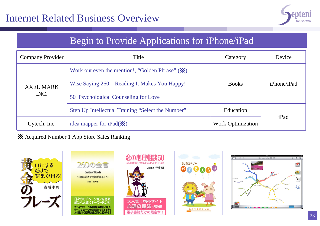

#### Begin to Provide Applications for iPhone/iPad

| <b>Company Provider</b> | Title                                                                    | Category                 | Device             |  |
|-------------------------|--------------------------------------------------------------------------|--------------------------|--------------------|--|
|                         | Work out even the mention!, "Golden Phrase" $(\mathbf{\mathbf{\times}})$ |                          |                    |  |
| <b>AXEL MARK</b>        | Wise Saying 260 – Reading It Makes You Happy!                            | <b>Books</b>             | <i>iPhone/iPad</i> |  |
| INC.                    | 50 Psychological Counseling for Love                                     |                          |                    |  |
|                         | Step Up Intellectual Training "Select the Number"                        | Education                |                    |  |
| Cytech, Inc.            | idea mapper for iPad $(\mathbf{\mathbf{\times}})$                        | <b>Work Optimization</b> | iPad               |  |

※ Acquired Number 1 App Store Sales Ranking

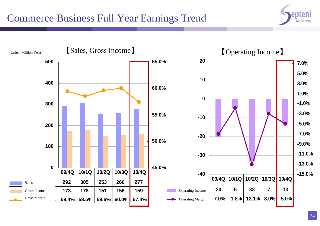#### Commerce Business Full Year Earnings Trend



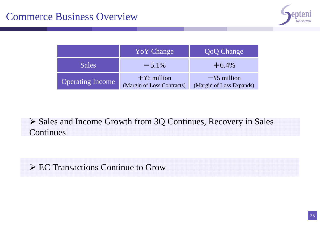

|                         | <b>YoY</b> Change                            | <b>QoQ Change</b>                                  |
|-------------------------|----------------------------------------------|----------------------------------------------------|
| <b>Sales</b>            | $-5.1\%$                                     | $+6.4\%$                                           |
| <b>Operating Income</b> | $+$ ¥6 million<br>(Margin of Loss Contracts) | $-\frac{1}{2}$ million<br>(Margin of Loss Expands) |

 Sales and Income Growth from 3Q Continues, Recovery in Sales Continues

EC Transactions Continue to Grow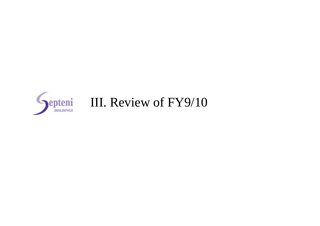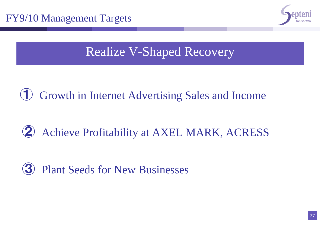

# Realize V-Shaped Recovery

**1** Growth in Internet Advertising Sales and Income

# ② Achieve Profitability at AXEL MARK, ACRESS

# ③ Plant Seeds for New Businesses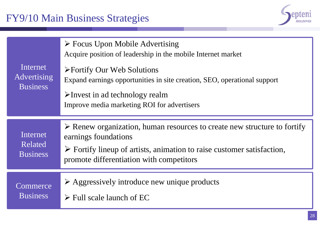#### FY9/10 Main Business Strategies



| Internet<br>Advertising<br><b>Business</b> | $\triangleright$ Focus Upon Mobile Advertising<br>Acquire position of leadership in the mobile Internet market<br>$\triangleright$ Fortify Our Web Solutions<br>Expand earnings opportunities in site creation, SEO, operational support<br>$\blacktriangleright$ Invest in ad technology realm<br>Improve media marketing ROI for advertisers |
|--------------------------------------------|------------------------------------------------------------------------------------------------------------------------------------------------------------------------------------------------------------------------------------------------------------------------------------------------------------------------------------------------|
| Internet<br>Related<br><b>Business</b>     | $\triangleright$ Renew organization, human resources to create new structure to fortify<br>earnings foundations<br>$\triangleright$ Fortify lineup of artists, animation to raise customer satisfaction,<br>promote differentiation with competitors                                                                                           |
| Commerce<br><b>Business</b>                | $\triangleright$ Aggressively introduce new unique products<br>$\triangleright$ Full scale launch of EC                                                                                                                                                                                                                                        |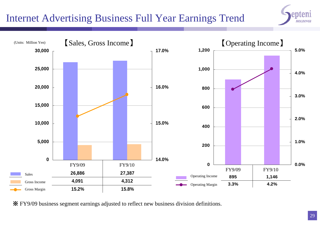#### Internet Advertising Business Full Year Earnings Trend





※ FY9/09 business segment earnings adjusted to reflect new business division definitions.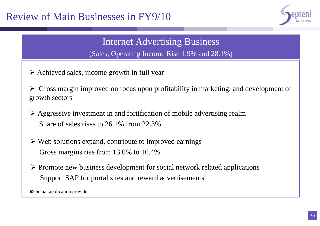#### Review of Main Businesses in FY9/10



#### Internet Advertising Business

(Sales, Operating Income Rise 1.9% and 28.1%)

 $\triangleright$  Achieved sales, income growth in full year

 Gross margin improved on focus upon profitability in marketing, and development of growth sectors

- $\triangleright$  Aggressive investment in and fortification of mobile advertising realm Share of sales rises to 26.1% from 22.3%
- $\triangleright$  Web solutions expand, contribute to improved earnings Gross margins rise from 13.0% to 16.4%
- $\triangleright$  Promote new business development for social network related applications Support SAP for portal sites and reward advertisements

※ Social application provider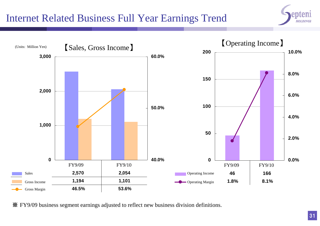#### Internet Related Business Full Year Earnings Trend





※ FY9/09 business segment earnings adjusted to reflect new business division definitions.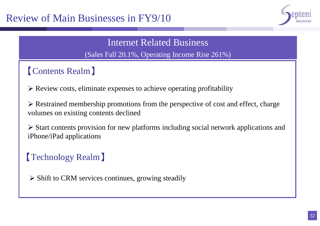

Internet Related Business (Sales Fall 20.1%, Operating Income Rise 261%)

### 【Contents Realm】

 $\triangleright$  Review costs, eliminate expenses to achieve operating profitability

 $\triangleright$  Restrained membership promotions from the perspective of cost and effect, charge volumes on existing contents declined

 Start contents provision for new platforms including social network applications and iPhone/iPad applications

# 【Technology Realm】

 $\triangleright$  Shift to CRM services continues, growing steadily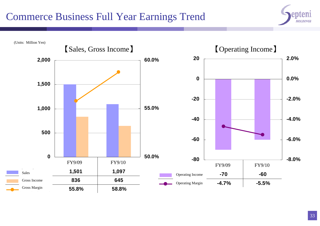#### Commerce Business Full Year Earnings Trend



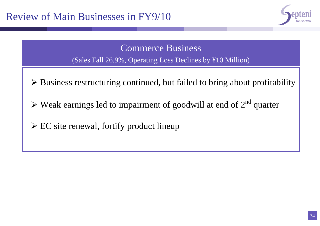

Commerce Business

(Sales Fall 26.9%, Operating Loss Declines by ¥10 Million)

- Business restructuring continued, but failed to bring about profitability
- $\triangleright$  Weak earnings led to impairment of goodwill at end of  $2<sup>nd</sup>$  quarter
- EC site renewal, fortify product lineup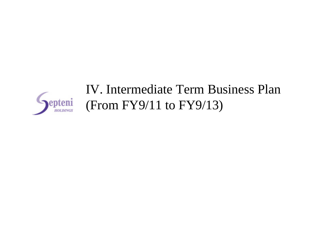

# IV. Intermediate Term Business Plan (From FY9/11 to FY9/13)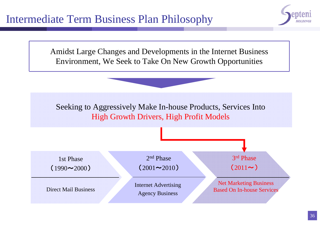

Amidst Large Changes and Developments in the Internet Business Environment, We Seek to Take On New Growth Opportunities

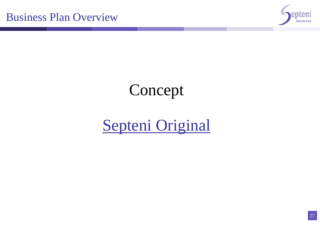

# Concept

# Septeni Original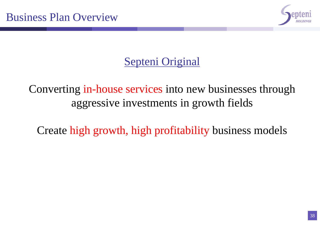

# Septeni Original

Converting in-house services into new businesses through aggressive investments in growth fields

Create high growth, high profitability business models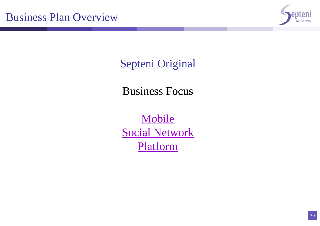

Septeni Original

Business Focus

Mobile Social Network Platform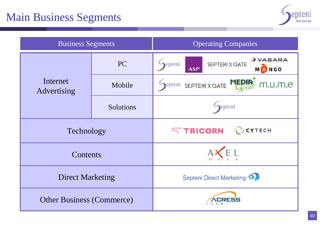

| <b>Business Segments</b>         |           | <b>Operating Companies</b>                                                            |  |  |
|----------------------------------|-----------|---------------------------------------------------------------------------------------|--|--|
|                                  | <b>PC</b> | $\rightarrow$ VASARA<br>epteni<br><b>SEPTENI X GATE</b><br><b>MANGO</b><br><b>ASP</b> |  |  |
| Internet<br>Advertising          | Mobile    | SEPTENIX GATE MEDIR<br>epteni<br>m.u.m.e                                              |  |  |
|                                  | Solutions | epteni                                                                                |  |  |
| Technology                       |           | <b>STRICORN</b><br>CYTECH                                                             |  |  |
| Contents                         |           |                                                                                       |  |  |
| <b>Direct Marketing</b>          |           | <b>Septeni Direct Marketing</b>                                                       |  |  |
| <b>Other Business (Commerce)</b> |           |                                                                                       |  |  |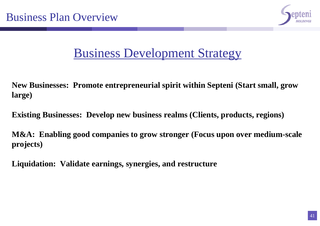

# Business Development Strategy

**New Businesses: Promote entrepreneurial spirit within Septeni (Start small, grow large)**

**Existing Businesses: Develop new business realms (Clients, products, regions)**

**M&A: Enabling good companies to grow stronger (Focus upon over medium-scale projects)**

**Liquidation: Validate earnings, synergies, and restructure**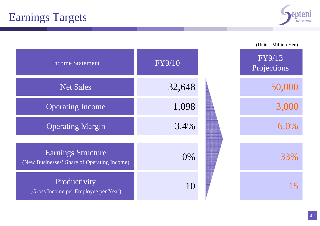

|                                                                   |        | (Units: Million Yen)  |
|-------------------------------------------------------------------|--------|-----------------------|
| <b>Income Statement</b>                                           | FY9/10 | FY9/13<br>Projections |
| <b>Net Sales</b>                                                  | 32,648 | 50,000                |
| <b>Operating Income</b>                                           | 1,098  | 3,000                 |
| <b>Operating Margin</b>                                           | 3.4%   | $6.0\%$               |
|                                                                   |        |                       |
| Earnings Structure<br>(New Businesses' Share of Operating Income) | 0%     | 33%                   |
| Productivity<br>(Gross Income per Employee per Year)              | 10     | 15                    |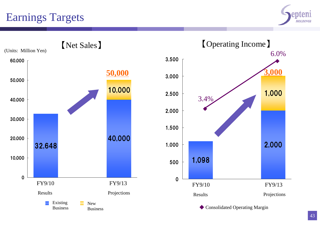# Earnings Targets



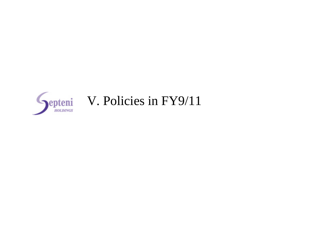

# Septeni V. Policies in FY9/11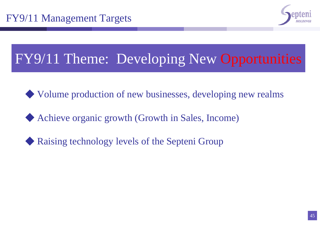

# FY9/11 Theme: Developing New Opportunities

- ◆ Volume production of new businesses, developing new realms
- Achieve organic growth (Growth in Sales, Income)
- Raising technology levels of the Septeni Group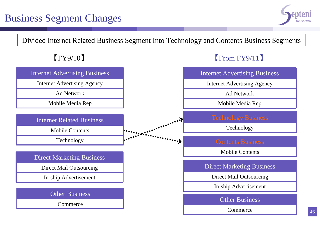#### Business Segment Changes



Divided Internet Related Business Segment Into Technology and Contents Business Segments

【FY9/10 】



Commerce

【From FY9/11 】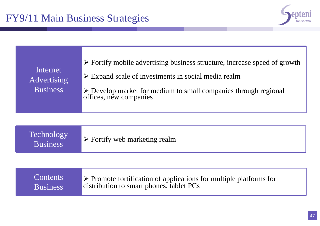

| Internet<br>Advertising<br><b>Business</b> | $\triangleright$ Fortify mobile advertising business structure, increase speed of growth<br>$\triangleright$ Expand scale of investments in social media realm<br>$\triangleright$ Develop market for medium to small companies through regional<br>offices, new companies |
|--------------------------------------------|----------------------------------------------------------------------------------------------------------------------------------------------------------------------------------------------------------------------------------------------------------------------------|
| Technology<br><b>Business</b>              | $\triangleright$ Fortify web marketing realm                                                                                                                                                                                                                               |
| <b>Contents</b><br><b>Business</b>         | $\triangleright$ Promote fortification of applications for multiple platforms for<br>distribution to smart phones, tablet PCs                                                                                                                                              |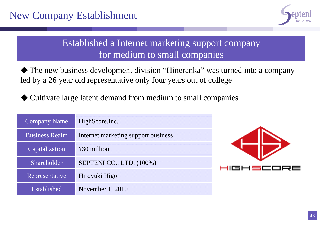

#### Established a Internet marketing support company for medium to small companies

◆ The new business development division "Hineranka" was turned into a company led by a 26 year old representative only four years out of college

◆ Cultivate large latent demand from medium to small companies

| <b>Company Name</b>   | HighScore, Inc.                     |  |  |
|-----------------------|-------------------------------------|--|--|
| <b>Business Realm</b> | Internet marketing support business |  |  |
| Capitalization        | ¥30 million                         |  |  |
| Shareholder           | SEPTENI CO., LTD. (100%)            |  |  |
| Representative        | Hiroyuki Higo                       |  |  |
| Established           | November 1, 2010                    |  |  |

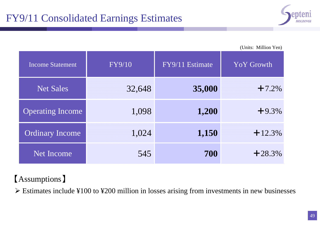

(Units: Million Yen)

| <b>Income Statement</b> | FY9/10 | FY9/11 Estimate | <b>YoY</b> Growth |
|-------------------------|--------|-----------------|-------------------|
| Net Sales               | 32,648 | 35,000          | $+7.2%$           |
| <b>Operating Income</b> | 1,098  | 1,200           | $+9.3%$           |
| <b>Ordinary Income</b>  | 1,024  | 1,150           | $+12.3%$          |
| <b>Net Income</b>       | 545    | 700             | $+28.3%$          |

#### 【Assumptions 】

 $\triangleright$  Estimates include ¥100 to ¥200 million in losses arising from investments in new businesses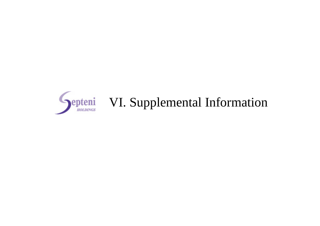

# **Septeni** VI. Supplemental Information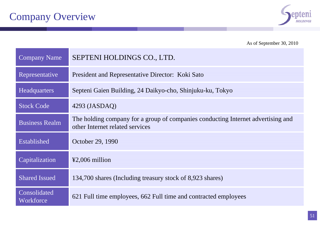

As of September 30, 2010

| <b>Company Name</b>       | SEPTENI HOLDINGS CO., LTD.                                                                                          |
|---------------------------|---------------------------------------------------------------------------------------------------------------------|
| Representative            | President and Representative Director: Koki Sato                                                                    |
| <b>Headquarters</b>       | Septeni Gaien Building, 24 Daikyo-cho, Shinjuku-ku, Tokyo                                                           |
| <b>Stock Code</b>         | $4293$ (JASDAQ)                                                                                                     |
| <b>Business Realm</b>     | The holding company for a group of companies conducting Internet advertising and<br>other Internet related services |
| Established               | October 29, 1990                                                                                                    |
| Capitalization            | $\textcolor{blue}{\text{42,006}}$ million                                                                           |
| <b>Shared Issued</b>      | 134,700 shares (Including treasury stock of 8,923 shares)                                                           |
| Consolidated<br>Workforce | 621 Full time employees, 662 Full time and contracted employees                                                     |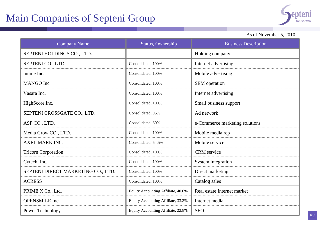### Main Companies of Septeni Group



#### As of November 5, 2010

| <b>Company Name</b>                | Status, Ownership                  | <b>Business Description</b>    |
|------------------------------------|------------------------------------|--------------------------------|
| SEPTENI HOLDINGS CO., LTD.         |                                    | Holding company                |
| SEPTENI CO., LTD.                  | Consolidated, 100%                 | Internet advertising           |
| mume Inc.                          | Consolidated, 100%                 | Mobile advertising             |
| MANGO Inc.                         | Consolidated, 100%                 | SEM operation                  |
| Vasara Inc.                        | Consolidated, 100%                 | Internet advertising           |
| HighScore, Inc.                    | Consolidated, 100%                 | Small business support         |
| SEPTENI CROSSGATE CO., LTD.        | Consolidated, 95%                  | Ad network                     |
| ASP CO., LTD.                      | Consolidated, 60%                  | e-Commerce marketing solutions |
| Media Grow CO., LTD.               | Consolidated, 100%                 | Mobile media rep               |
| <b>AXEL MARK INC.</b>              | Consolidated, 54.5%                | Mobile service                 |
| <b>Tricorn Corporation</b>         | Consolidated, 100%                 | <b>CRM</b> service             |
| Cytech, Inc.                       | Consolidated, 100%                 | System integration             |
| SEPTENI DIRECT MARKETING CO., LTD. | Consolidated, 100%                 | Direct marketing               |
| <b>ACRESS</b>                      | Consolidated, 100%                 | Catalog sales                  |
| PRIME X Co., Ltd.                  | Equity Accounting Affiliate, 40.0% | Real estate Internet market    |
| <b>OPENSMILE</b> Inc.              | Equity Accounting Affiliate, 33.3% | Internet media                 |
| Power Technology                   | Equity Accounting Affiliate, 22.8% | <b>SEO</b>                     |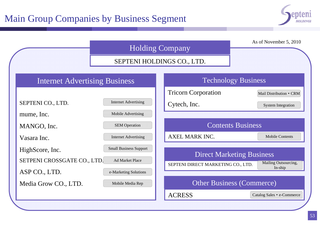

|                                                                 | <b>Holding Company</b>                                                           |                          |                                                                        |  | As of November 5, 2010          |
|-----------------------------------------------------------------|----------------------------------------------------------------------------------|--------------------------|------------------------------------------------------------------------|--|---------------------------------|
| SEPTENI HOLDINGS CO., LTD.                                      |                                                                                  |                          |                                                                        |  |                                 |
| <b>Internet Advertising Business</b>                            |                                                                                  |                          | <b>Technology Business</b>                                             |  |                                 |
|                                                                 |                                                                                  |                          | <b>Tricorn Corporation</b>                                             |  | Mail Distribution • CRM         |
| SEPTENI CO., LTD.                                               | <b>Internet Advertising</b>                                                      |                          | Cytech, Inc.                                                           |  | <b>System Integration</b>       |
| mume, Inc.                                                      | Mobile Advertising                                                               |                          |                                                                        |  |                                 |
| <b>SEM Operation</b><br>MANGO, Inc.                             |                                                                                  | <b>Contents Business</b> |                                                                        |  |                                 |
| Vasara Inc.                                                     | <b>Internet Advertising</b>                                                      |                          | AXEL MARK INC.                                                         |  | <b>Mobile Contents</b>          |
| HighScore, Inc.<br>SETPENI CROSSGATE CO., LTD.<br>ASP CO., LTD. | <b>Small Business Support</b><br><b>Ad Market Place</b><br>e-Marketing Solutions |                          | <b>Direct Marketing Business</b><br>SEPTENI DIRECT MARKETING CO., LTD. |  | Mailing Outsourcing,<br>In-ship |
| Media Grow CO., LTD.                                            | Mobile Media Rep                                                                 |                          | <b>Other Business (Commerce)</b>                                       |  |                                 |
|                                                                 |                                                                                  |                          | <b>ACRESS</b>                                                          |  | Catalog Sales • e-Commerce      |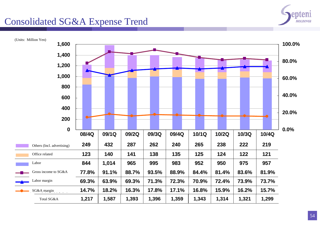

#### Consolidated SG&A Expense Trend